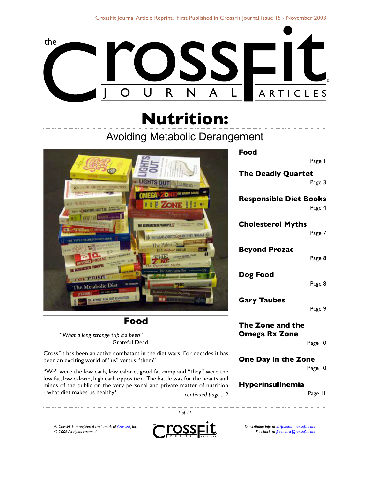

# **Nutrition:**

# Avoiding Metabolic Derangement



### **Food**

*"What a long strange trip it's been"* - Grateful Dead

CrossFit has been an active combatant in the diet wars. For decades it has been an exciting world of "us" versus "them".

"We" were the low carb, low calorie, good fat camp and "they" were the low fat, low calorie, high carb opposition. The battle was for the hearts and minds of the public on the very personal and private matter of nutrition - what diet makes us healthy? *continued page...* [Page 11](#page-10-0)

**Food**

Page 1

**[The Deadly Quartet](#page-2-0)** [Page](#page-2-0) 3

**[Responsible Diet Books](#page-3-0)** [Page](#page-3-0) 4

**[Cholesterol Myths](#page-6-0)** [Page 7](#page-6-0)

**[Beyond Prozac](#page-7-0)**

[Page](#page-7-0) 8

**[Dog Food](#page-7-1)**

[Page](#page-7-1) 8

**[Gary Taubes](#page-8-0)**

[Page](#page-8-0) 9

**[The Zone and the](#page-9-0)  [Omega Rx Zone](#page-9-0)**

[Page](#page-9-0) 10

**On[e Day in the Zone](#page-9-1)**

[Page 10](#page-9-1)

### **[Hyperinsulinemia](#page-10-0)**

*® CrossFit is a registered trademark of [CrossFit,](http://www.crossfit.com) Inc. © 2006 All rights reserved.*



 *of 11*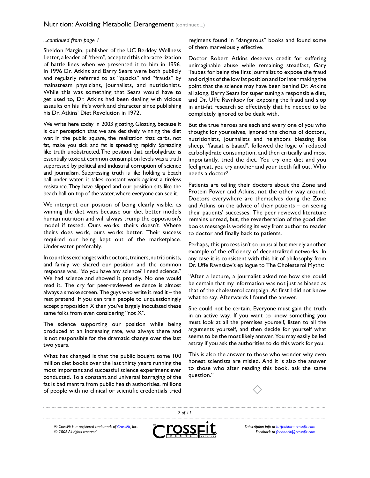#### *...continued from page*

Sheldon Margin, publisher of the UC Berkley Wellness Letter, a leader of "them", accepted this characterization of battle lines when we presented it to him in 1996. In 1996 Dr. Atkins and Barry Sears were both publicly and regularly referred to as "quacks" and "frauds" by mainstream physicians, journalists, and nutritionists. While this was something that Sears would have to get used to, Dr. Atkins had been dealing with vicious assaults on his life's work and character since publishing his Dr. Atkins' Diet Revolution in 1972.

We write here today in 2003 gloating. Gloating, because it is our perception that we are decisively winning the diet war. In the public square, the realization that carbs, not fat, make you sick and fat is spreading rapidly. Spreading like truth unobstructed. The position that carbohydrate is essentially toxic at common consumption levels was a truth suppressed by political and industrial corruption of science and journalism. Suppressing truth is like holding a beach ball under water; it takes constant work against a tireless resistance. They have slipped and our position sits like the beach ball on top of the water, where everyone can see it.

We interpret our position of being clearly visible, as winning the diet wars because our diet better models human nutrition and will always trump the opposition's model if tested. Ours works, theirs doesn't. Where theirs does work, ours works better. Their success required our being kept out of the marketplace. Underwater preferably.

In countless exchanges with doctors, trainers, nutritionists, and family we shared our position and the common response was, "do you have any science? I need science." We had science and showed it proudly. No one would read it. The cry for peer-reviewed evidence is almost always a smoke screen. The guys who write it read it – the rest pretend. If you can train people to unquestioningly accept proposition X then you've largely inoculated these same folks from even considering "not X".

The science supporting our position while being produced at an increasing rate, was always there and is not responsible for the dramatic change over the last two years.

What has changed is that the public bought some 100 million diet books over the last thirty years running the most important and successful science experiment ever conducted. To a constant and universal barraging of the fat is bad mantra from public health authorities, millions of people with no clinical or scientific credentials tried

regimens found in "dangerous" books and found some of them marvelously effective.

Doctor Robert Atkins deserves credit for suffering unimaginable abuse while remaining steadfast, Gary Taubes for being the first journalist to expose the fraud and origins of the low fat position and for later making the point that the science may have been behind Dr. Atkins all along, Barry Sears for super tuning a responsible diet, and Dr. Uffe Ravnksov for exposing the fraud and slop in anti-fat research so effectively that he needed to be completely ignored to be dealt with.

But the true heroes are each and every one of you who thought for yourselves, ignored the chorus of doctors, nutritionists, journalists and neighbors bleating like sheep, "faaaat is baaad", followed the logic of reduced carbohydrate consumption, and then critically and most importantly, tried the diet. You try one diet and you feel great, you try another and your teeth fall out. Who needs a doctor?

Patients are telling their doctors about the Zone and Protein Power and Atkins, not the other way around. Doctors everywhere are themselves doing the Zone and Atkins on the advice of their patients – on seeing their patients' successes. The peer reviewed literature remains unread, but, the reverberation of the good diet books message is working its way from author to reader to doctor and finally back to patients.

Perhaps, this process isn't so unusual but merely another example of the efficiency of decentralized networks. In any case it is consistent with this bit of philosophy from Dr. Uffe Ravnskov's epilogue to The Cholesterol Myths:

"After a lecture, a journalist asked me how she could be certain that my information was not just as biased as that of the cholesterol campaign. At first I did not know what to say. Afterwards I found the answer.

She could not be certain. Everyone must gain the truth in an active way. If you want to know something you must look at all the premises yourself, listen to all the arguments yourself, and then decide for yourself what seems to be the most likely answer. You may easily be led astray if you ask the authorities to do this work for you.

This is also the answer to those who wonder why even honest scientists are misled. And it is also the answer to those who after reading this book, ask the same question."



*® CrossFit is a registered trademark of [CrossFit,](http://www.crossfit.com) Inc. © 2006 All rights reserved.*



 *of 11*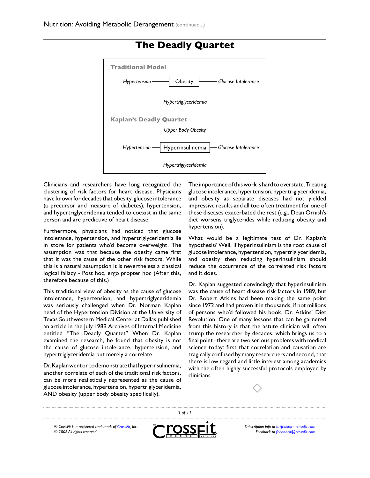

# <span id="page-2-0"></span>**The Deadly Quartet**

Clinicians and researchers have long recognized the clustering of risk factors for heart disease. Physicians have known for decades that obesity, glucose intolerance (a precursor and measure of diabetes), hypertension, and hypertriglyceridemia tended to coexist in the same person and are predictive of heart disease.

Furthermore, physicians had noticed that glucose intolerance, hypertension, and hypertriglyceridemia lie in store for patients who'd become overweight. The assumption was that because the obesity came first that it was the cause of the other risk factors. While this is a natural assumption it is nevertheless a classical logical fallacy - Post hoc, ergo propter hoc (After this, therefore because of this.)

This traditional view of obesity as the cause of glucose intolerance, hypertension, and hypertriglyceridemia was seriously challenged when Dr. Norman Kaplan head of the Hypertension Division at the University of Texas Southwestern Medical Center at Dallas published an article in the July 1989 Archives of Internal Medicine entitled "The Deadly Quartet" When Dr. Kaplan examined the research, he found that obesity is not the cause of glucose intolerance, hypertension, and hypertriglyceridemia but merely a correlate.

Dr. Kaplan went on to demonstrate that hyperinsulinemia, another correlate of each of the traditional risk factors, can be more realistically represented as the cause of glucose intolerance, hypertension, hypertriglyceridemia, AND obesity (upper body obesity specifically).

The importance of this work is hard to overstate. Treating glucose intolerance, hypertension, hypertriglyceridemia, and obesity as separate diseases had not yielded impressive results and all too often treatment for one of these diseases exacerbated the rest (e.g., Dean Ornish's diet worsens triglycerides while reducing obesity and hypertension).

What would be a legitimate test of Dr. Kaplan's hypothesis? Well, if hyperinsulinism is the root cause of glucose intolerance, hypertension, hypertriglyceridemia, and obesity then reducing hyperinsulinism should reduce the occurrence of the correlated risk factors and it does.

Dr. Kaplan suggested convincingly that hyperinsulinism was the cause of heart disease risk factors in 1989, but Dr. Robert Atkins had been making the same point since 1972 and had proven it in thousands, if not millions of persons who'd followed his book, Dr. Atkins' Diet Revolution. One of many lessons that can be garnered from this history is that the astute clinician will often trump the researcher by decades, which brings us to a final point - there are two serious problems with medical science today: first that correlation and causation are tragically confused by many researchers and second, that there is low regard and little interest among academics with the often highly successful protocols employed by clinicians.



*® CrossFit is a registered trademark of [CrossFit,](http://www.crossfit.com) Inc. © 2006 All rights reserved.*



 *of 11*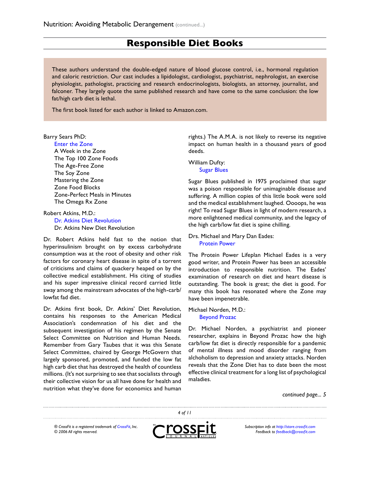### <span id="page-3-0"></span>**Responsible Diet Books**

These authors understand the double-edged nature of blood glucose control, i.e., hormonal regulation and caloric restriction. Our cast includes a lipidologist, cardiologist, psychiatrist, nephrologist, an exercise physiologist, pathologist, practicing and research endocrinologists, biologists, an attorney, journalist, and falconer. They largely quote the same published research and have come to the same conclusion: the low fat/high carb diet is lethal.

The first book listed for each author is linked to Amazon.com.

#### Barry Sears PhD:

#### [Enter the Zone](http://www.amazon.com/Enter-Zone-Barry-Sears/dp/2570435260/ref=pd_bbs_sr_1/102-2836189-4687348?ie=UTF8&s=books&qid=1182851365&sr=8-1)

A Week in the Zone The Top 100 Zone Foods The Age-Free Zone The Soy Zone Mastering the Zone Zone Food Blocks Zone-Perfect Meals in Minutes The Omega Rx Zone

Robert Atkins, M.D.: [Dr. Atkins Diet Revolution](http://www.amazon.com/Dr-Atkins-Diet-Revolution-Robert/dp/0553271571/ref=sr_1_4/102-2836189-4687348?ie=UTF8&s=books&qid=1182851404&sr=1-4) Dr. Atkins New Diet Revolution

Dr. Robert Atkins held fast to the notion that hyperinsulinism brought on by excess carbohydrate consumption was at the root of obesity and other risk factors for coronary heart disease in spite of a torrent of criticisms and claims of quackery heaped on by the collective medical establishment. His citing of studies and his super impressive clinical record carried little sway among the mainstream advocates of the high-carb/ lowfat fad diet.

Dr. Atkins first book, Dr. Atkins' Diet Revolution, contains his responses to the American Medical Association's condemnation of his diet and the subsequent investigation of his regimen by the Senate Select Committee on Nutrition and Human Needs. Remember from Gary Taubes that it was this Senate Select Committee, chaired by George McGovern that largely sponsored, promoted, and funded the low fat high carb diet that has destroyed the health of countless millions. (It's not surprising to see that socialists through their collective vision for us all have done for health and nutrition what they've done for economics and human

rights.) The A.M.A. is not likely to reverse its negative impact on human health in a thousand years of good deeds.

William Dufty: [Sugar Blues](http://www.amazon.com/Sugar-Blues-William-Dufty/dp/0446343129/ref=pd_bbs_sr_1/102-2836189-4687348?ie=UTF8&s=books&qid=1182851584&sr=1-1)

Sugar Blues published in 1975 proclaimed that sugar was a poison responsible for unimaginable disease and suffering. A million copies of this little book were sold and the medical establishment laughed. Oooops, he was right! To read Sugar Blues in light of modern research, a more enlightened medical community, and the legacy of the high carb/low fat diet is spine chilling.

Drs. Michael and Mary Dan Eades: [Protein Power](http://www.amazon.com/Protein-Power-Michael-R-Eades/dp/0722539614/ref=pd_bbs_sr_1/102-2836189-4687348?ie=UTF8&s=books&qid=1182851759&sr=1-1)

The Protein Power Lifeplan Michael Eades is a very good writer, and Protein Power has been an accessible introduction to responsible nutrition. The Eades' examination of research on diet and heart disease is outstanding. The book is great; the diet is good. For many this book has resonated where the Zone may have been impenetrable.

#### Michael Norden, M.D.: [Beyond Prozac](http://www.amazon.com/Beyond-Prozac-Antidotes-Modern-Times/dp/0060987073/ref=pd_bbs_sr_1/102-2836189-4687348?ie=UTF8&s=books&qid=1182851801&sr=1-1)

Dr. Michael Norden, a psychiatrist and pioneer researcher, explains in Beyond Prozac how the high carb/low fat diet is directly responsible for a pandemic of mental illness and mood disorder ranging from alchoholism to depression and anxiety attacks. Norden reveals that the Zone Diet has to date been the most effective clinical treatment for a long list of psychological maladies.

*continued page...* 

 *of 11 ® CrossFit is a registered trademark of [CrossFit,](http://www.crossfit.com) Inc. Subscription info at<http://store.crossfit.com> © 2006 All rights reserved. Feedback to [feedback@crossfit.com](mailto:feedback@crossfit.com)*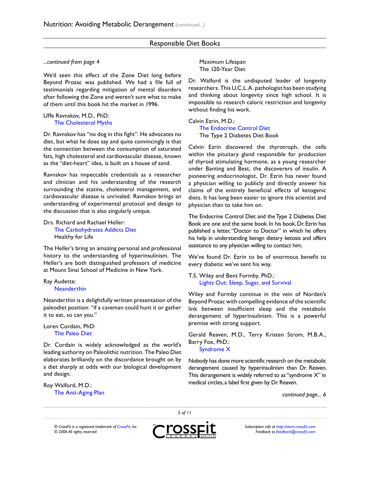#### Responsible Diet Books

#### *...continued from page*

We'd seen this effect of the Zone Diet long before Beyond Prozac was published. We had a file full of testimonials regarding mitigation of mental disorders after following the Zone and weren't sure what to make of them until this book hit the market in 1996.

#### Uffe Ravnskov, M.D., PhD: [The Cholesterol Myths](http://www.amazon.com/Cholesterol-Myths-Exposing-Fallacy-Saturated/dp/0967089700/ref=pd_bbs_sr_1/102-2836189-4687348?ie=UTF8&s=books&qid=1182851836&sr=1-1)

Dr. Ravnskov has "no dog in this fight". He advocates no diet, but what he does say and quite convincingly is that the connection between the consumption of saturated fats, high cholesterol and cardiovascular disease, known as the "diet-heart" idea, is built on a house of sand.

Ravnskov has impeccable credentials as a researcher and clinician and his understanding of the research surrounding the statins, cholesterol management, and cardiovascular disease is unrivaled. Ravnskov brings an understanding of experimental protocol and design to the discussion that is also singularly unique.

#### Drs. Richard and Rachael Heller: [The Carbohydrates Addicts Diet](http://www.amazon.com/Carbohydrate-Addicts-Diet-Richard-Heller/dp/0091853753/ref=pd_bbs_sr_1/102-2836189-4687348?ie=UTF8&s=books&qid=1182851905&sr=1-1) Healthy for Life

The Heller's bring an amazing personal and professional history to the understanding of hyperinsulinism. The Heller's are both distinguished professors of medicine at Mount Sinai School of Medicine in New York.

#### Ray Audette: [Neanderthin](http://www.amazon.com/Neanderthin-Caveman-Achieve-Strong-Healthy/dp/0312975910/ref=pd_bbs_sr_1/102-2836189-4687348?ie=UTF8&s=books&qid=1182852095&sr=1-1)

Neanderthin is a delightfully written presentation of the paleodiet position: "if a caveman could hunt it or gather it to eat, so can you."

#### Loren Cordain, PhD: [The Paleo Diet](http://www.amazon.com/Paleo-Diet-Weight-Healthy-Designed/dp/0471267554/ref=pd_bbs_sr_1/102-2836189-4687348?ie=UTF8&s=books&qid=1182852130&sr=1-1)

Dr. Cordain is widely acknowledged as the world's leading authority on Paleolithic nutrition. The Paleo Diet elaborates brilliantly on the discordance brought on by a diet sharply at odds with our biological development and design.

Roy Walford, M.D.: [The Anti-Aging Plan](http://www.amazon.com/Anti-Aging-Plan-Nutrient-Rich-Life-Scientifically/dp/1569243832/ref=pd_bbs_sr_1/102-2836189-4687348?ie=UTF8&s=books&qid=1182852163&sr=1-1) Maximum Lifespan The 120-Year Diet

Dr. Walford is the undisputed leader of longevity researchers. This U.C.L.A. pathologist has been studying and thinking about longevity since high school. It is impossible to research caloric restriction and longevity without finding his work.

Calvin Ezrin, M.D.: [The Endocrine Control Diet](http://www.amazon.com/Endocrine-Control-Diet-Metabolic-Permanently/dp/0060159197/ref=sr_1_1/102-2836189-4687348?ie=UTF8&s=books&qid=1182852201&sr=1-1) The Type 2 Diabetes Diet Book

Calvin Ezrin discovered the thyrotroph, the cells within the pituitary gland responsible for production of thyroid stimulating hormone, as a young researcher under Banting and Best, the discoverers of insulin. A pioneering endocrinologist, Dr. Ezrin has never found a physician willing to publicly and directly answer his claims of the entirely beneficial effects of ketogenic diets. It has long been easier to ignore this scientist and physician than to take him on.

The Endocrine Control Diet and the Type 2 Diabetes Diet Book are one and the same book. In his book, Dr. Ezrin has published a letter, "Doctor to Doctor" in which he offers his help in understanding benign dietary ketosis and offers assistance to any physician willing to contact him.

We've found Dr. Ezrin to be of enormous benefit to every diabetic we've sent his way.

T.S. Wiley and Bent Formby, PhD.: [Lights Out: Sleep, Sugar, and Survival](http://www.amazon.com/Lights-Out-Sleep-Sugar-Survival/dp/0671038680/ref=sr_1_1/102-2836189-4687348?ie=UTF8&s=books&qid=1182852486&sr=1-1)

Wiley and Formby continue in the vein of Norden's Beyond Prozac with compelling evidence of the scientific link between insufficient sleep and the metabolic derangement of hyperinsulinism. This is a powerful premise with strong support.

Gerald Reaven, M.D., Terry Kristen Strom, M.B.A., Barry Fox, PhD.: [Syndrome X](http://www.amazon.com/Syndrome-Silent-Killer-Heart-Disease/dp/0684868636/ref=pd_bbs_sr_3/102-2836189-4687348?ie=UTF8&s=books&qid=1182852517&sr=1-3)

Nobody has done more scientific research on the metabolic derangement caused by hyperinsulinism than Dr. Reaven. This derangement is widely referred to as "syndrome X" in medical circles, a label first given by Dr. Reaven.

*continued page...* 

*® CrossFit is a registered trademark of [CrossFit,](http://www.crossfit.com) Inc. © 2006 All rights reserved.*



 *of 11*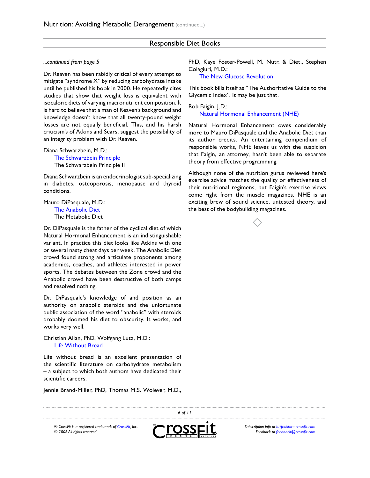#### Responsible Diet Books

#### *...continued from page*

Dr. Reaven has been rabidly critical of every attempt to mitigate "syndrome X" by reducing carbohydrate intake until he published his book in 2000. He repeatedly cites studies that show that weight loss is equivalent with isocaloric diets of varying macronutrient composition. It is hard to believe that a man of Reaven's background and knowledge doesn't know that all twenty-pound weight losses are not equally beneficial. This, and his harsh criticism's of Atkins and Sears, suggest the possibility of an integrity problem with Dr. Reaven.

Diana Schwarzbein, M.D.:

[The Schwarzbein Principle](http://www.amazon.com/Schwarzbein-Principle-Healthy-Feeling-Younger/dp/1558746803/ref=pd_bbs_sr_1/102-2836189-4687348?ie=UTF8&s=books&qid=1182852564&sr=1-1) The Schwarzbein Principle II

Diana Schwarzbein is an endocrinologist sub-specializing in diabetes, osteoporosis, menopause and thyroid conditions.

Mauro DiPasquale, M.D.: [The Anabolic Diet](http://www.amazon.com/anabolic-diet-Mauro-Di-Pasquale/dp/B0006F61XE/ref=pd_bbs_sr_1/102-2836189-4687348?ie=UTF8&s=books&qid=1182852613&sr=1-1) The Metabolic Diet

Dr. DiPasquale is the father of the cyclical diet of which Natural Hormonal Enhancement is an indistinguishable variant. In practice this diet looks like Atkins with one or several nasty cheat days per week. The Anabolic Diet crowd found strong and articulate proponents among academics, coaches, and athletes interested in power sports. The debates between the Zone crowd and the Anabolic crowd have been destructive of both camps and resolved nothing.

Dr. DiPasquale's knowledge of and position as an authority on anabolic steroids and the unfortunate public association of the word "anabolic" with steroids probably doomed his diet to obscurity. It works, and works very well.

Christian Allan, PhD, Wolfgang Lutz, M.D.: [Life Without Bread](http://www.amazon.com/Life-Without-Bread-Christian-Allan/dp/0658001701/ref=pd_bbs_sr_1/102-2836189-4687348?ie=UTF8&s=books&qid=1182852645&sr=1-1)

Life without bread is an excellent presentation of the scientific literature on carbohydrate metabolism – a subject to which both authors have dedicated their scientific careers.

Jennie Brand-Miller, PhD, Thomas M.S. Wolever, M.D.,

PhD, Kaye Foster-Powell, M. Nutr. & Diet., Stephen Colagiuri, M.D.:

[The New Glucose Revolution](http://www.amazon.com/New-Glucose-Revolution-Authoritative-Glycemic/dp/1569242585/ref=pd_bbs_sr_1/102-2836189-4687348?ie=UTF8&s=books&qid=1182852685&sr=1-1)

This book bills itself as "The Authoritative Guide to the Glycemic Index". It may be just that.

Rob Faigin, J.D.: [Natural Hormonal Enhancement \(NHE\)](http://www.amazon.com/Natural-Hormonal-Enhancement-Rob-Faigin/dp/0967560500/ref=pd_bbs_sr_1/102-2836189-4687348?ie=UTF8&s=books&qid=1182852721&sr=1-1)

Natural Hormonal Enhancement owes considerably more to Mauro DiPasquale and the Anabolic Diet than its author credits. An entertaining compendium of responsible works, NHE leaves us with the suspicion that Faigin, an attorney, hasn't been able to separate theory from effective programming.

Although none of the nutrition gurus reviewed here's exercise advice matches the quality or effectiveness of their nutritional regimens, but Faigin's exercise views come right from the muscle magazines. NHE is an exciting brew of sound science, untested theory, and the best of the bodybuilding magazines.





*® CrossFit is a registered trademark of [CrossFit,](http://www.crossfit.com) Inc. © 2006 All rights reserved.*



*Subscription info at<http://store.crossfit.com> Feedback to [feedback@crossfit.com](mailto:feedback@crossfit.com)*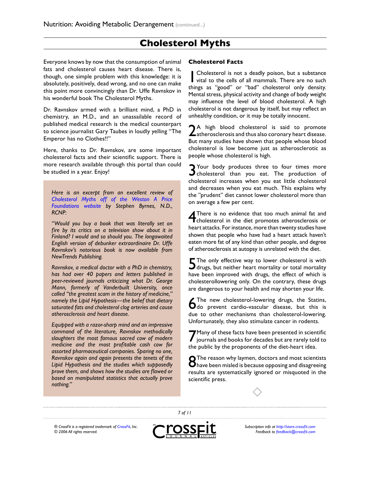### **Cholesterol Myths**

Everyone knows by now that the consumption of animal fats and cholesterol causes heart disease. There is, though, one simple problem with this knowledge: it is absolutely, positively, dead wrong, and no one can make this point more convincingly than Dr. Uffe Ravnskov in his wonderful book The Cholesterol Myths.

Dr. Ravnskov armed with a brilliant mind, a PhD in chemistry, an M.D., and an unassailable record of published medical research is the medical counterpart to science journalist Gary Taubes in loudly yelling "The Emperor has no Clothes!!"

Here, thanks to Dr. Ravnskov, are some important cholesterol facts and their scientific support. There is more research available through this portal than could be studied in a year. Enjoy!

*Here is an excerpt from an excellent review of [Cholesterol Myths off of the Weston A Price](http://www.westonaprice.org/bookreviews/cholesterol_myths.html)  [Foundations website](http://www.westonaprice.org/bookreviews/cholesterol_myths.html) by Stephen Byrnes, N.D., RCNP:*

*"Would you buy a book that was literally set on fire by its critics on a television show about it in Finland? I would and so should you. The longawaited English version of debunker extraordinaire Dr. Uffe Ravnskov's notorious book is now available from NewTrends Publishing.*

*Ravnskov, a medical doctor with a PhD in chemistry, has had over 40 papers and letters published in peer-reviewed journals criticizing what Dr. George Mann, formerly of Vanderbuilt University, once called "the greatest scam in the history of medicine," namely the Lipid Hypothesis—the belief that dietary saturated fats and cholesterol clog arteries and cause atherosclerosis and heart disease.*

*Equipped with a razor-sharp mind and an impressive command of the literature, Ravnskov methodically slaughters the most famous sacred cow of modern medicine and the most profitable cash cow for assorted pharmaceutical companies. Sparing no one, Ravnskov again and again presents the tenets of the Lipid Hypothesis and the studies which supposedly prove them, and shows how the studies are flawed or based on manipulated statistics that actually prove nothing."*

#### <span id="page-6-0"></span>**Cholesterol Facts**

1 Cholesterol is not a deadly poison, but a substance vital to the cells of all mammals. There are no such things as "good" or "bad" cholesterol only density. Mental stress, physical activity and change of body weight may influence the level of blood cholesterol. A high cholesterol is not dangerous by itself, but may reflect an unhealthy condition, or it may be totally innocent.

2<sup>A</sup> high blood cholesterol is said to promote<br>atherosclerosis and thus also coronary heart disease. But many studies have shown that people whose blood cholesterol is low become just as atherosclerotic as people whose cholesterol is high.

3 Your body produces three to four times more cholesterol than you eat. The production of cholesterol increases when you eat little cholesterol and decreases when you eat much. This explains why the "prudent" diet cannot lower cholesterol more than on average a few per cent.

4 There is no evidence that too much animal fat and cholesterol in the diet promotes atherosclerosis or heart attacks. For instance, more than twenty studies have shown that people who have had a heart attack haven't eaten more fat of any kind than other people, and degree of atherosclerosis at autopsy is unrelated with the diet.

5 The only effective way to lower cholesterol is with drugs, but neither heart mortality or total mortality have been improved with drugs, the effect of which is cholesterollowering only. On the contrary, these drugs are dangerous to your health and may shorten your life.

6 The new cholesterol-lowering drugs, the Statins, do prevent cardio-vascular disease, but this is due to other mechanisms than cholesterol-lowering. Unfortunately, they also stimulate cancer in rodents.

7 Many of these facts have been presented in scientific journals and books for decades but are rarely told to the public by the proponents of the diet-heart idea.

8 The reason why laymen, doctors and most scientists have been misled is because opposing and disagreeing results are systematically ignored or misquoted in the scientific press.



*® CrossFit is a registered trademark of [CrossFit,](http://www.crossfit.com) Inc. © 2006 All rights reserved.*



 *of 11*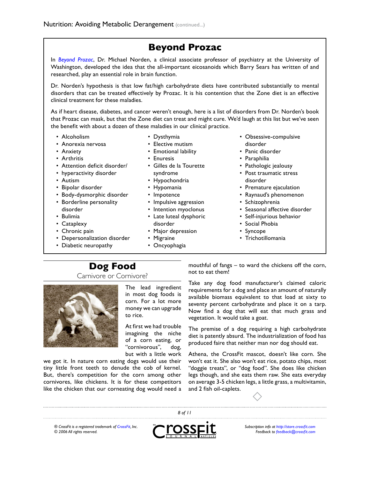## **Beyond Prozac**

In *[Beyond Prozac](http://www.amazon.com/Beyond-Prozac-Antidotes-Modern-Times/dp/0060987073/ref=pd_bbs_sr_1/102-2836189-4687348?ie=UTF8&s=books&qid=1182854039&sr=8-1)*, Dr. Michael Norden, a clinical associate professor of psychiatry at the University of Washington, developed the idea that the all-important eicosanoids which Barry Sears has written of and researched, play an essential role in brain function.

Dr. Norden's hypothesis is that low fat/high carbohydrate diets have contributed substantially to mental disorders that can be treated effectively by Prozac. It is his contention that the Zone diet is an effective clinical treatment for these maladies.

As if heart disease, diabetes, and cancer weren't enough, here is a list of disorders from Dr. Norden's book that Prozac can mask, but that the Zone diet can treat and might cure. We'd laugh at this list but we've seen the benefit with about a dozen of these maladies in our clinical practice.

- Alcoholism •
- Anorexia nervosa •
- Anxiety
- Arthritis •
- Attention deficit disorder/ •
- hyperactivity disorder
- Autism •
- Bipolar disorder
- Body-dysmorphic disorder
- Borderline personality disorder
- Bulimia
- Cataplexy •
- Chronic pain •
- Depersonalization disorder
- Diabetic neuropathy
- Dysthymia •
- Elective mutism •
- Emotional lability
- Enuresis
- Gilles de la Tourette syndrome
- Hypochondria
- Hypomania
- Impotence
- Impulsive aggression
- Intention myoclonus
- Late luteal dysphoric
- disorder
- Major depression
- Migraine
- <span id="page-7-1"></span>Oncyophagia •
- <span id="page-7-0"></span>• Obsessive-compulsive disorder
- Panic disorder
- Paraphilia
- Pathologic jealousy
- Post traumatic stress disorder
- Premature ejaculation
- Raynaud's phenomenon
- Schizophrenia
- Seasonal affective disorder
- Self-injurious behavior
- Social Phobia
- Syncope
- Trichotillomania

# **Dog Food**

Carnivore or Cornivore?



The lead ingredient in most dog foods is corn. For a lot more money we can upgrade to rice.

At first we had trouble imagining the niche of a corn eating, or "cornivorous", dog,

but with a little work we got it. In nature corn eating dogs would use their tiny little front teeth to denude the cob of kernel. But, there's competition for the corn among other cornivores, like chickens. It is for these competitors like the chicken that our corneating dog would need a mouthful of fangs – to ward the chickens off the corn, not to eat them!

Take any dog food manufacturer's claimed caloric requirements for a dog and place an amount of naturally available biomass equivalent to that load at sixty to seventy percent carbohydrate and place it on a tarp. Now find a dog that will eat that much grass and vegetation. It would take a goat.

The premise of a dog requiring a high carbohydrate diet is patently absurd. The industrialization of food has produced faire that neither man nor dog should eat.

Athena, the CrossFit mascot, doesn't like corn. She won't eat it. She also won't eat rice, potato chips, most "doggie treats", or "dog food". She does like chicken legs though, and she eats them raw. She eats everyday on average 3-5 chicken legs, a little grass, a multivitamin, and 2 fish oil-caplets.



*® CrossFit is a registered trademark of [CrossFit,](http://www.crossfit.com) Inc. © 2006 All rights reserved.*



 *of 11*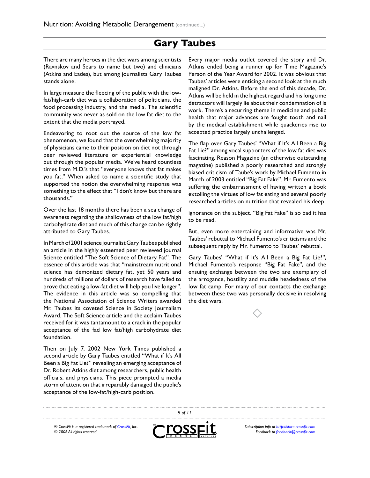### **Gary Taubes**

There are many heroes in the diet wars among scientists (Ravnskov and Sears to name but two) and clinicians (Atkins and Eades), but among journalists Gary Taubes stands alone.

In large measure the fleecing of the public with the lowfat/high-carb diet was a collaboration of politicians, the food processing industry, and the media. The scientific community was never as sold on the low fat diet to the extent that the media portrayed.

Endeavoring to root out the source of the low fat phenomenon, we found that the overwhelming majority of physicians came to their position on diet not through peer reviewed literature or experiential knowledge but through the popular media. We've heard countless times from M.D.'s that "everyone knows that fat makes you fat." When asked to name a scientific study that supported the notion the overwhelming response was something to the effect that "I don't know but there are thousands."

Over the last 18 months there has been a sea change of awareness regarding the shallowness of the low fat/high carbohydrate diet and much of this change can be rightly attributed to Gary Taubes.

In March of 2001 science journalist Gary Taubes published an article in the highly esteemed peer reviewed journal Science entitled "The Soft Science of Dietary Fat". The essence of this article was that "mainstream nutritional science has demonized dietary fat, yet 50 years and hundreds of millions of dollars of research have failed to prove that eating a low-fat diet will help you live longer". The evidence in this article was so compelling that the National Association of Science Writers awarded Mr. Taubes its coveted Science in Society Journalism Award. The Soft Science article and the acclaim Taubes received for it was tantamount to a crack in the popular acceptance of the fad low fat/high carbohydrate diet foundation.

Then on July 7, 2002 New York Times published a second article by Gary Taubes entitled "What if It's All Been a Big Fat Lie?" revealing an emerging acceptance of Dr. Robert Atkins diet among researchers, public health officials, and physicians. This piece prompted a media storm of attention that irreparably damaged the public's acceptance of the low-fat/high-carb position.

<span id="page-8-0"></span>Every major media outlet covered the story and Dr. Atkins ended being a runner up for Time Magazine's Person of the Year Award for 2002. It was obvious that Taubes' articles were enticing a second look at the much maligned Dr. Atkins. Before the end of this decade, Dr. Atkins will be held in the highest regard and his long time detractors will largely lie about their condemnation of is work. There's a recurring theme in medicine and public health that major advances are fought tooth and nail by the medical establishment while quackeries rise to accepted practice largely unchallenged.

The flap over Gary Taubes' "What if It's All Been a Big Fat Lie?" among vocal supporters of the low fat diet was fascinating. Reason Magazine (an otherwise outstanding magazine) published a poorly researched and strongly biased criticism of Taube's work by Michael Fumento in March of 2003 entitled "Big Fat Fake". Mr. Fumento was suffering the embarrassment of having written a book extolling the virtues of low fat eating and several poorly researched articles on nutrition that revealed his deep

ignorance on the subject. "Big Fat Fake" is so bad it has to be read.

But, even more entertaining and informative was Mr. Taubes' rebuttal to Michael Fumento's criticisms and the subsequent reply by Mr. Fumento to Taubes' rebuttal.

Gary Taubes' "What if It's All Been a Big Fat Lie?", Michael Fumento's response "Big Fat Fake", and the ensuing exchange between the two are exemplary of the arrogance, hostility and muddle headedness of the low fat camp. For many of our contacts the exchange between these two was personally decisive in resolving the diet wars.



*<sup>®</sup> CrossFit is a registered trademark of [CrossFit,](http://www.crossfit.com) Inc. © 2006 All rights reserved.*



 *of 11*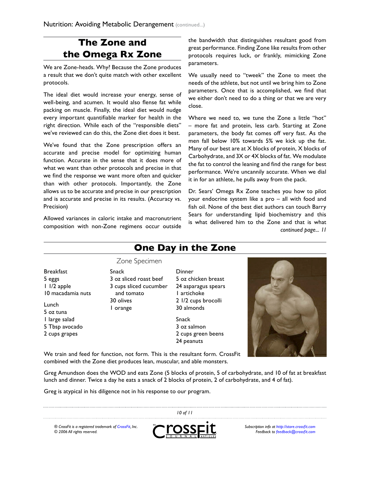# <span id="page-9-0"></span>**The Zone and the Omega Rx Zone**

We are Zone-heads. Why? Because the Zone produces a result that we don't quite match with other excellent protocols.

The ideal diet would increase your energy, sense of well-being, and acumen. It would also flense fat while packing on muscle. Finally, the ideal diet would nudge every important quantifiable marker for health in the right direction. While each of the "responsible diets" we've reviewed can do this, the Zone diet does it best.

We've found that the Zone prescription offers an accurate and precise model for optimizing human function. Accurate in the sense that it does more of what we want than other protocols and precise in that we find the response we want more often and quicker than with other protocols. Importantly, the Zone allows us to be accurate and precise in our prescription and is accurate and precise in its results. (Accuracy vs. Precision)

Allowed variances in caloric intake and macronutrient composition with non-Zone regimens occur outside

the bandwidth that distinguishes resultant good from great performance. Finding Zone like results from other protocols requires luck, or frankly, mimicking Zone parameters.

We usually need to "tweek" the Zone to meet the needs of the athlete, but not until we bring him to Zone parameters. Once that is accomplished, we find that we either don't need to do a thing or that we are very close.

Where we need to, we tune the Zone a little "hot" – more fat and protein, less carb. Starting at Zone parameters, the body fat comes off very fast. As the men fall below 10% towards 5% we kick up the fat. Many of our best are at X blocks of protein, X blocks of Carbohydrate, and 3X or 4X blocks of fat. We modulate the fat to control the leaning and find the range for best performance. We're uncannily accurate. When we dial it in for an athlete, he pulls away from the pack.

Dr. Sears' Omega Rx Zone teaches you how to pilot your endocrine system like a pro – all with food and fish oil. None of the best diet authors can touch Barry Sears for understanding lipid biochemistry and this is what delivered him to the Zone and that is what *continued page... 11*

# **One Day in the Zone**

Dinner

1 artichoke 2 1/2 cups brocolli

5 oz chicken breast 24 asparagus spears

#### Zone Specimen

- Snack 3 oz sliced roast beef 3 cups sliced cucumber and tomato 30 olives 1 orange
- 5 oz tuna 1 large salad 5 Tbsp avocado 2 cups grapes

10 macadamia nuts

Breakfast 5 eggs 1 1/2 apple

Lunch

- - 30 almonds Snack 3 oz salmon 2 cups green beens 24 peanuts

<span id="page-9-1"></span>

We train and feed for function, not form. This is the resultant form. CrossFit combined with the Zone diet produces lean, muscular, and able monsters.

Greg Amundson does the WOD and eats Zone (5 blocks of protein, 5 of carbohydrate, and 10 of fat at breakfast lunch and dinner. Twice a day he eats a snack of 2 blocks of protein, 2 of carbohydrate, and 4 of fat).

Greg is atypical in his diligence not in his response to our program.

*® CrossFit is a registered trademark of [CrossFit,](http://www.crossfit.com) Inc. © 2006 All rights reserved.*



*10 of 11*